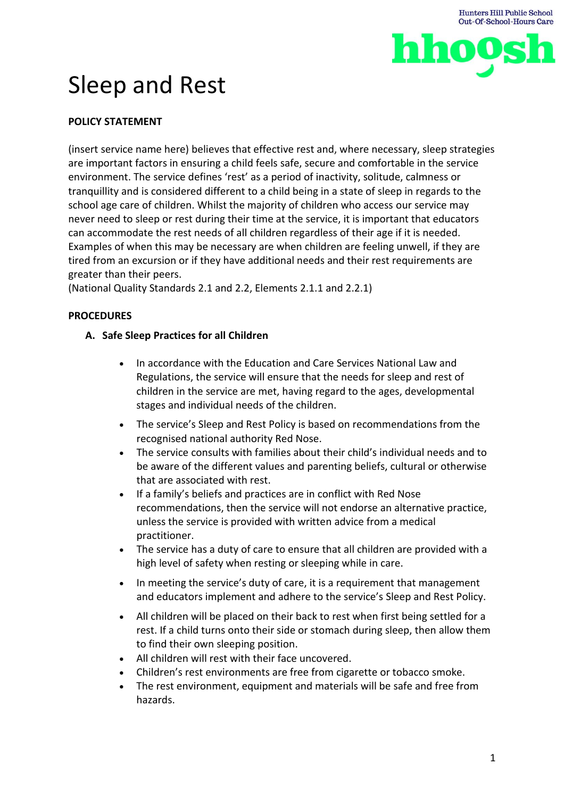

# Sleep and Rest

# **POLICY STATEMENT**

(insert service name here) believes that effective rest and, where necessary, sleep strategies are important factors in ensuring a child feels safe, secure and comfortable in the service environment. The service defines 'rest' as a period of inactivity, solitude, calmness or tranquillity and is considered different to a child being in a state of sleep in regards to the school age care of children. Whilst the majority of children who access our service may never need to sleep or rest during their time at the service, it is important that educators can accommodate the rest needs of all children regardless of their age if it is needed. Examples of when this may be necessary are when children are feeling unwell, if they are tired from an excursion or if they have additional needs and their rest requirements are greater than their peers.

(National Quality Standards 2.1 and 2.2, Elements 2.1.1 and 2.2.1)

# **PROCEDURES**

## **A. Safe Sleep Practices for all Children**

- In accordance with the Education and Care Services National Law and Regulations, the service will ensure that the needs for sleep and rest of children in the service are met, having regard to the ages, developmental stages and individual needs of the children.
- The service's Sleep and Rest Policy is based on recommendations from the recognised national authority Red Nose.
- The service consults with families about their child's individual needs and to be aware of the different values and parenting beliefs, cultural or otherwise that are associated with rest.
- If a family's beliefs and practices are in conflict with Red Nose recommendations, then the service will not endorse an alternative practice, unless the service is provided with written advice from a medical practitioner.
- The service has a duty of care to ensure that all children are provided with a high level of safety when resting or sleeping while in care.
- In meeting the service's duty of care, it is a requirement that management and educators implement and adhere to the service's Sleep and Rest Policy.
- All children will be placed on their back to rest when first being settled for a rest. If a child turns onto their side or stomach during sleep, then allow them to find their own sleeping position.
- All children will rest with their face uncovered.
- Children's rest environments are free from cigarette or tobacco smoke.
- The rest environment, equipment and materials will be safe and free from hazards.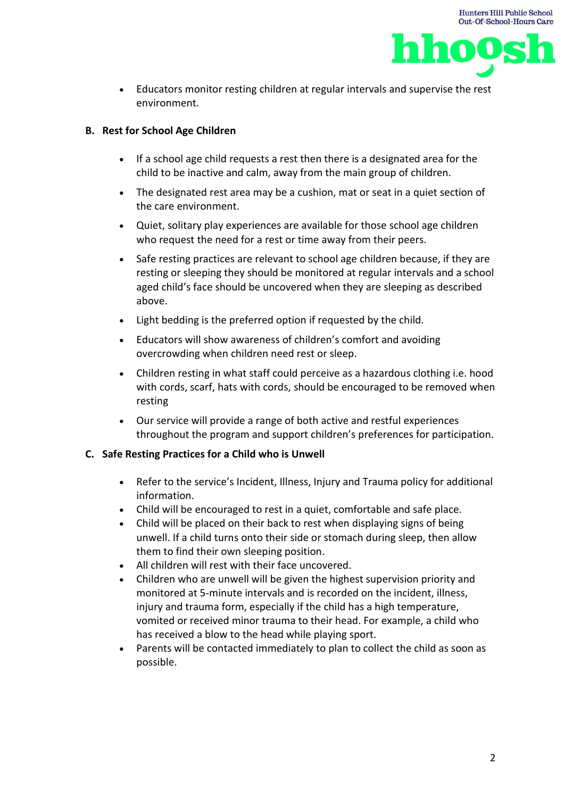



• Educators monitor resting children at regular intervals and supervise the rest environment.

## **B. Rest for School Age Children**

- If a school age child requests a rest then there is a designated area for the child to be inactive and calm, away from the main group of children.
- The designated rest area may be a cushion, mat or seat in a quiet section of the care environment.
- Quiet, solitary play experiences are available for those school age children who request the need for a rest or time away from their peers.
- Safe resting practices are relevant to school age children because, if they are resting or sleeping they should be monitored at regular intervals and a school aged child's face should be uncovered when they are sleeping as described above.
- Light bedding is the preferred option if requested by the child.
- Educators will show awareness of children's comfort and avoiding overcrowding when children need rest or sleep.
- Children resting in what staff could perceive as a hazardous clothing i.e. hood with cords, scarf, hats with cords, should be encouraged to be removed when resting
- Our service will provide a range of both active and restful experiences throughout the program and support children's preferences for participation.

#### **C. Safe Resting Practices for a Child who is Unwell**

- Refer to the service's Incident, Illness, Injury and Trauma policy for additional information.
- Child will be encouraged to rest in a quiet, comfortable and safe place.
- Child will be placed on their back to rest when displaying signs of being unwell. If a child turns onto their side or stomach during sleep, then allow them to find their own sleeping position.
- All children will rest with their face uncovered.
- Children who are unwell will be given the highest supervision priority and monitored at 5-minute intervals and is recorded on the incident, illness, injury and trauma form, especially if the child has a high temperature, vomited or received minor trauma to their head. For example, a child who has received a blow to the head while playing sport.
- Parents will be contacted immediately to plan to collect the child as soon as possible.